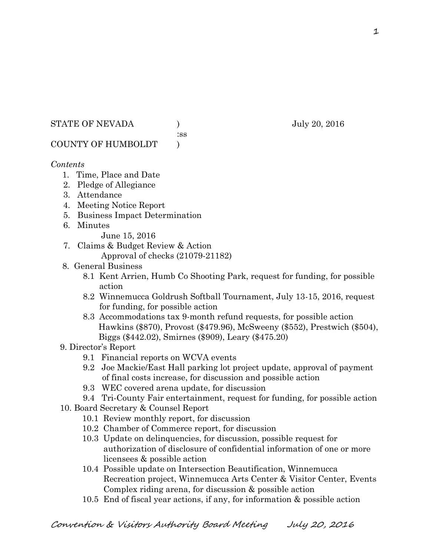STATE OF NEVADA ) July 20, 2016

:ss

COUNTY OF HUMBOLDT )

# *Contents*

- 1. Time, Place and Date
- 2. Pledge of Allegiance
- 3. Attendance
- 4. Meeting Notice Report
- 5. Business Impact Determination
- 6. Minutes
	- June 15, 2016
- 7. Claims & Budget Review & Action
	- Approval of checks (21079-21182)
- 8. General Business
	- 8.1 Kent Arrien, Humb Co Shooting Park, request for funding, for possible action
	- 8.2 Winnemucca Goldrush Softball Tournament, July 13-15, 2016, request for funding, for possible action
	- 8.3 Accommodations tax 9-month refund requests, for possible action Hawkins (\$870), Provost (\$479.96), McSweeny (\$552), Prestwich (\$504), Biggs (\$442.02), Smirnes (\$909), Leary (\$475.20)
- 9. Director's Report
	- 9.1 Financial reports on WCVA events
	- 9.2 Joe Mackie/East Hall parking lot project update, approval of payment of final costs increase, for discussion and possible action
	- 9.3 WEC covered arena update, for discussion
	- 9.4 Tri-County Fair entertainment, request for funding, for possible action
- 10. Board Secretary & Counsel Report
	- 10.1 Review monthly report, for discussion
	- 10.2 Chamber of Commerce report, for discussion
	- 10.3 Update on delinquencies, for discussion, possible request for authorization of disclosure of confidential information of one or more licensees & possible action
	- 10.4 Possible update on Intersection Beautification, Winnemucca Recreation project, Winnemucca Arts Center & Visitor Center, Events Complex riding arena, for discussion & possible action
	- 10.5 End of fiscal year actions, if any, for information & possible action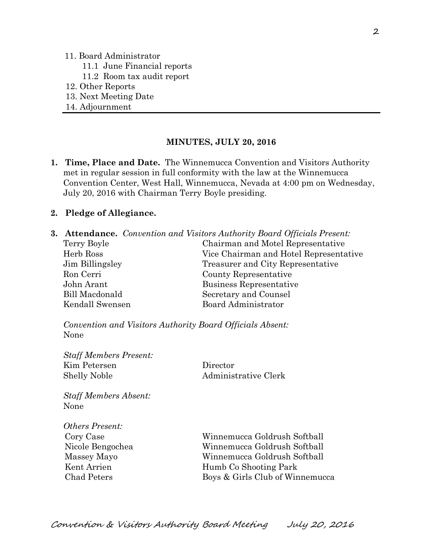#### 11. Board Administrator

- 11.1 June Financial reports
- 11.2 Room tax audit report
- 12. Other Reports
- 13. Next Meeting Date
- 14. Adjournment

#### **MINUTES, JULY 20, 2016**

**1. Time, Place and Date.** The Winnemucca Convention and Visitors Authority met in regular session in full conformity with the law at the Winnemucca Convention Center, West Hall, Winnemucca, Nevada at 4:00 pm on Wednesday, July 20, 2016 with Chairman Terry Boyle presiding.

#### **2. Pledge of Allegiance.**

**3. Attendance.** *Convention and Visitors Authority Board Officials Present:*  Terry Boyle Chairman and Motel Representative Herb Ross Vice Chairman and Hotel Representative Jim Billingsley Treasurer and City Representative Ron Cerri County Representative John Arant Business Representative Bill Macdonald Secretary and Counsel Kendall Swensen Board Administrator

*Convention and Visitors Authority Board Officials Absent:*  None

| <b>Staff Members Present:</b><br>Kim Petersen | Director                        |
|-----------------------------------------------|---------------------------------|
| <b>Shelly Noble</b>                           | Administrative Clerk            |
| <b>Staff Members Absent:</b>                  |                                 |
| None                                          |                                 |
| <i>Others Present:</i>                        |                                 |
| Cory Case                                     | Winnemucca Goldrush Softball    |
| Nicole Bengochea                              | Winnemucca Goldrush Softball    |
| Massey Mayo                                   | Winnemucca Goldrush Softball    |
| Kent Arrien                                   | Humb Co Shooting Park           |
| Chad Peters                                   | Boys & Girls Club of Winnemucca |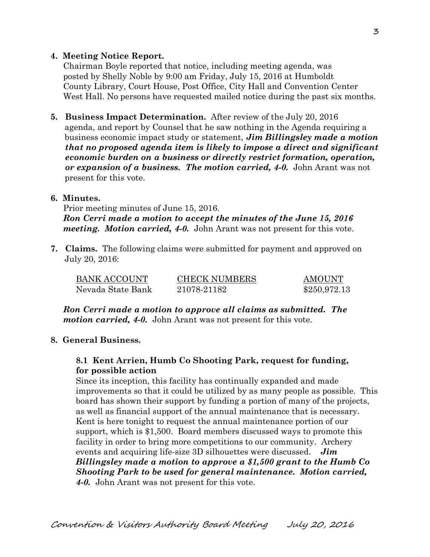## **4. Meeting Notice Report.**

Chairman Boyle reported that notice, including meeting agenda, was posted by Shelly Noble by 9:00 am Friday, July 15, 2016 at Humboldt County Library, Court House, Post Office, City Hall and Convention Center West Hall. No persons have requested mailed notice during the past six months.

**5. Business Impact Determination.** After review of the July 20, 2016 agenda, and report by Counsel that he saw nothing in the Agenda requiring a business economic impact study or statement, *Jim Billingsley made a motion that no proposed agenda item is likely to impose a direct and significant economic burden on a business or directly restrict formation, operation, or expansion of a business. The motion carried, 4-0.* John Arant was not present for this vote.

## **6. Minutes.**

Prior meeting minutes of June 15, 2016. *Ron Cerri made a motion to accept the minutes of the June 15, 2016 meeting. Motion carried, 4-0.* John Arant was not present for this vote.

**7. Claims.** The following claims were submitted for payment and approved on July 20, 2016:

| BANK ACCOUNT      | <b>CHECK NUMBERS</b> | <b>AMOUNT</b> |
|-------------------|----------------------|---------------|
| Nevada State Bank | 21078-21182          | \$250,972.13  |

*Ron Cerri made a motion to approve all claims as submitted. The motion carried, 4-0.* John Arant was not present for this vote.

## **8. General Business.**

# **8.1 Kent Arrien, Humb Co Shooting Park, request for funding, for possible action**

Since its inception, this facility has continually expanded and made improvements so that it could be utilized by as many people as possible. This board has shown their support by funding a portion of many of the projects, as well as financial support of the annual maintenance that is necessary. Kent is here tonight to request the annual maintenance portion of our support, which is \$1,500. Board members discussed ways to promote this facility in order to bring more competitions to our community. Archery events and acquiring life-size 3D silhouettes were discussed. *Jim Billingsley made a motion to approve a \$1,500 grant to the Humb Co Shooting Park to be used for general maintenance. Motion carried, 4-0.* John Arant was not present for this vote.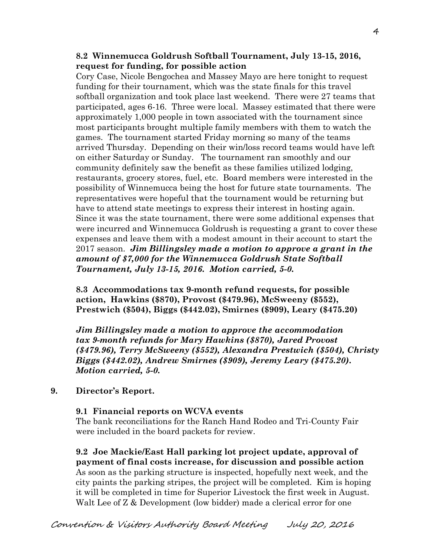## **8.2 Winnemucca Goldrush Softball Tournament, July 13-15, 2016, request for funding, for possible action**

Cory Case, Nicole Bengochea and Massey Mayo are here tonight to request funding for their tournament, which was the state finals for this travel softball organization and took place last weekend. There were 27 teams that participated, ages 6-16. Three were local. Massey estimated that there were approximately 1,000 people in town associated with the tournament since most participants brought multiple family members with them to watch the games. The tournament started Friday morning so many of the teams arrived Thursday. Depending on their win/loss record teams would have left on either Saturday or Sunday. The tournament ran smoothly and our community definitely saw the benefit as these families utilized lodging, restaurants, grocery stores, fuel, etc. Board members were interested in the possibility of Winnemucca being the host for future state tournaments. The representatives were hopeful that the tournament would be returning but have to attend state meetings to express their interest in hosting again. Since it was the state tournament, there were some additional expenses that were incurred and Winnemucca Goldrush is requesting a grant to cover these expenses and leave them with a modest amount in their account to start the 2017 season. *Jim Billingsley made a motion to approve a grant in the amount of \$7,000 for the Winnemucca Goldrush State Softball Tournament, July 13-15, 2016. Motion carried, 5-0.* 

**8.3 Accommodations tax 9-month refund requests, for possible action, Hawkins (\$870), Provost (\$479.96), McSweeny (\$552), Prestwich (\$504), Biggs (\$442.02), Smirnes (\$909), Leary (\$475.20)** 

*Jim Billingsley made a motion to approve the accommodation tax 9-month refunds for Mary Hawkins (\$870), Jared Provost (\$479.96), Terry McSweeny (\$552), Alexandra Prestwich (\$504), Christy Biggs (\$442.02), Andrew Smirnes (\$909), Jeremy Leary (\$475.20). Motion carried, 5-0.*

### **9. Director's Report.**

### **9.1 Financial reports on WCVA events**

The bank reconciliations for the Ranch Hand Rodeo and Tri-County Fair were included in the board packets for review.

**9.2 Joe Mackie/East Hall parking lot project update, approval of payment of final costs increase, for discussion and possible action**  As soon as the parking structure is inspected, hopefully next week, and the city paints the parking stripes, the project will be completed. Kim is hoping it will be completed in time for Superior Livestock the first week in August. Walt Lee of Z & Development (low bidder) made a clerical error for one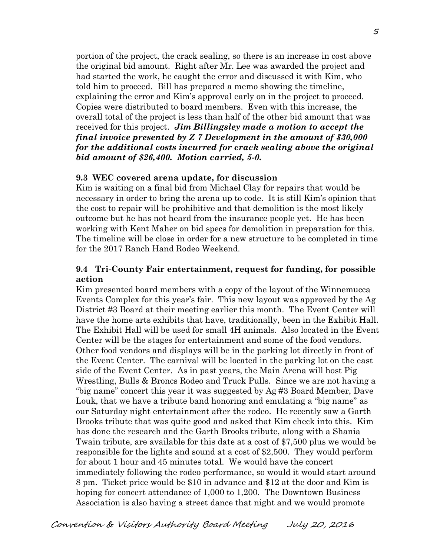portion of the project, the crack sealing, so there is an increase in cost above the original bid amount. Right after Mr. Lee was awarded the project and had started the work, he caught the error and discussed it with Kim, who told him to proceed. Bill has prepared a memo showing the timeline, explaining the error and Kim's approval early on in the project to proceed. Copies were distributed to board members. Even with this increase, the overall total of the project is less than half of the other bid amount that was received for this project. *Jim Billingsley made a motion to accept the final invoice presented by Z 7 Development in the amount of \$30,000 for the additional costs incurred for crack sealing above the original bid amount of \$26,400. Motion carried, 5-0.*

### **9.3 WEC covered arena update, for discussion**

Kim is waiting on a final bid from Michael Clay for repairs that would be necessary in order to bring the arena up to code. It is still Kim's opinion that the cost to repair will be prohibitive and that demolition is the most likely outcome but he has not heard from the insurance people yet. He has been working with Kent Maher on bid specs for demolition in preparation for this. The timeline will be close in order for a new structure to be completed in time for the 2017 Ranch Hand Rodeo Weekend.

### **9.4 Tri-County Fair entertainment, request for funding, for possible action**

 Kim presented board members with a copy of the layout of the Winnemucca Events Complex for this year's fair. This new layout was approved by the Ag District #3 Board at their meeting earlier this month. The Event Center will have the home arts exhibits that have, traditionally, been in the Exhibit Hall. The Exhibit Hall will be used for small 4H animals. Also located in the Event Center will be the stages for entertainment and some of the food vendors. Other food vendors and displays will be in the parking lot directly in front of the Event Center. The carnival will be located in the parking lot on the east side of the Event Center. As in past years, the Main Arena will host Pig Wrestling, Bulls & Broncs Rodeo and Truck Pulls. Since we are not having a "big name" concert this year it was suggested by Ag #3 Board Member, Dave Louk, that we have a tribute band honoring and emulating a "big name" as our Saturday night entertainment after the rodeo. He recently saw a Garth Brooks tribute that was quite good and asked that Kim check into this. Kim has done the research and the Garth Brooks tribute, along with a Shania Twain tribute, are available for this date at a cost of \$7,500 plus we would be responsible for the lights and sound at a cost of \$2,500. They would perform for about 1 hour and 45 minutes total. We would have the concert immediately following the rodeo performance, so would it would start around 8 pm. Ticket price would be \$10 in advance and \$12 at the door and Kim is hoping for concert attendance of 1,000 to 1,200. The Downtown Business Association is also having a street dance that night and we would promote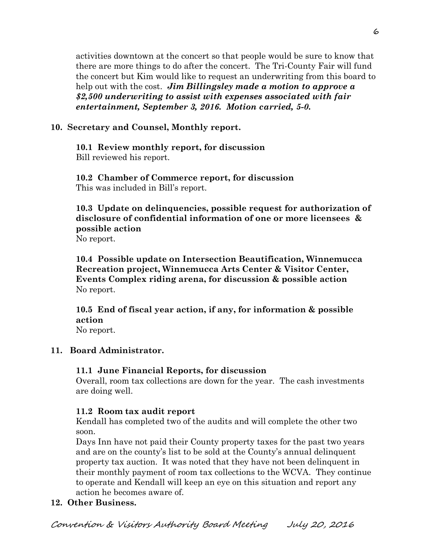activities downtown at the concert so that people would be sure to know that there are more things to do after the concert. The Tri-County Fair will fund the concert but Kim would like to request an underwriting from this board to help out with the cost. *Jim Billingsley made a motion to approve a \$2,500 underwriting to assist with expenses associated with fair entertainment, September 3, 2016. Motion carried, 5-0.* 

# **10. Secretary and Counsel, Monthly report.**

**10.1 Review monthly report, for discussion**  Bill reviewed his report.

**10.2 Chamber of Commerce report, for discussion**  This was included in Bill's report.

**10.3 Update on delinquencies, possible request for authorization of disclosure of confidential information of one or more licensees & possible action** 

No report.

**10.4 Possible update on Intersection Beautification, Winnemucca Recreation project, Winnemucca Arts Center & Visitor Center, Events Complex riding arena, for discussion & possible action**  No report.

**10.5 End of fiscal year action, if any, for information & possible action** 

No report.

# **11. Board Administrator.**

## **11.1 June Financial Reports, for discussion**

Overall, room tax collections are down for the year. The cash investments are doing well.

# **11.2 Room tax audit report**

Kendall has completed two of the audits and will complete the other two soon.

Days Inn have not paid their County property taxes for the past two years and are on the county's list to be sold at the County's annual delinquent property tax auction. It was noted that they have not been delinquent in their monthly payment of room tax collections to the WCVA. They continue to operate and Kendall will keep an eye on this situation and report any action he becomes aware of.

# **12. Other Business.**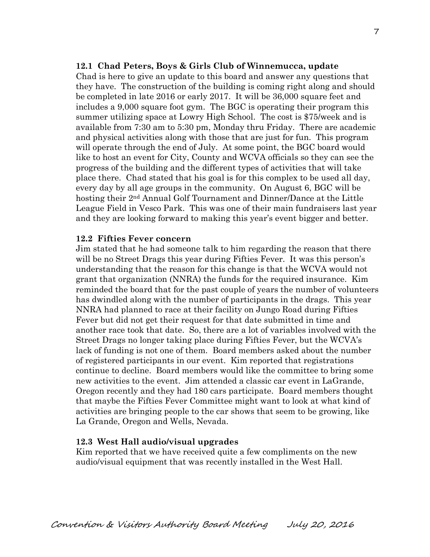### **12.1 Chad Peters, Boys & Girls Club of Winnemucca, update**

Chad is here to give an update to this board and answer any questions that they have. The construction of the building is coming right along and should be completed in late 2016 or early 2017. It will be 36,000 square feet and includes a 9,000 square foot gym. The BGC is operating their program this summer utilizing space at Lowry High School. The cost is \$75/week and is available from 7:30 am to 5:30 pm, Monday thru Friday. There are academic and physical activities along with those that are just for fun. This program will operate through the end of July. At some point, the BGC board would like to host an event for City, County and WCVA officials so they can see the progress of the building and the different types of activities that will take place there. Chad stated that his goal is for this complex to be used all day, every day by all age groups in the community. On August 6, BGC will be hosting their 2nd Annual Golf Tournament and Dinner/Dance at the Little League Field in Vesco Park. This was one of their main fundraisers last year and they are looking forward to making this year's event bigger and better.

#### **12.2 Fifties Fever concern**

Jim stated that he had someone talk to him regarding the reason that there will be no Street Drags this year during Fifties Fever. It was this person's understanding that the reason for this change is that the WCVA would not grant that organization (NNRA) the funds for the required insurance. Kim reminded the board that for the past couple of years the number of volunteers has dwindled along with the number of participants in the drags. This year NNRA had planned to race at their facility on Jungo Road during Fifties Fever but did not get their request for that date submitted in time and another race took that date. So, there are a lot of variables involved with the Street Drags no longer taking place during Fifties Fever, but the WCVA's lack of funding is not one of them. Board members asked about the number of registered participants in our event. Kim reported that registrations continue to decline. Board members would like the committee to bring some new activities to the event. Jim attended a classic car event in LaGrande, Oregon recently and they had 180 cars participate. Board members thought that maybe the Fifties Fever Committee might want to look at what kind of activities are bringing people to the car shows that seem to be growing, like La Grande, Oregon and Wells, Nevada.

#### **12.3 West Hall audio/visual upgrades**

Kim reported that we have received quite a few compliments on the new audio/visual equipment that was recently installed in the West Hall.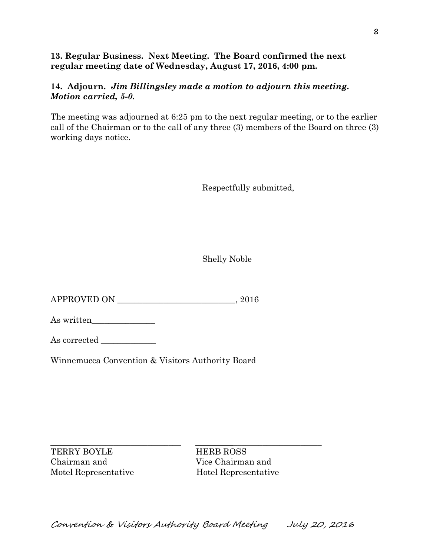## **13. Regular Business. Next Meeting. The Board confirmed the next regular meeting date of Wednesday, August 17, 2016, 4:00 pm.**

# **14. Adjourn.** *Jim Billingsley made a motion to adjourn this meeting. Motion carried, 5-0.*

The meeting was adjourned at 6:25 pm to the next regular meeting, or to the earlier call of the Chairman or to the call of any three (3) members of the Board on three (3) working days notice.

Respectfully submitted,

Shelly Noble

APPROVED ON \_\_\_\_\_\_\_\_\_\_\_\_\_\_\_\_\_\_\_\_\_\_\_\_\_\_\_\_, 2016

As written

As corrected

Winnemucca Convention & Visitors Authority Board

TERRY BOYLE HERB ROSS Chairman and Vice Chairman and

 $\_$  ,  $\_$  ,  $\_$  ,  $\_$  ,  $\_$  ,  $\_$  ,  $\_$  ,  $\_$  ,  $\_$  ,  $\_$  ,  $\_$  ,  $\_$  ,  $\_$  ,  $\_$  ,  $\_$  ,  $\_$  ,  $\_$  ,  $\_$  ,  $\_$  ,  $\_$  ,  $\_$  ,  $\_$  ,  $\_$  ,  $\_$  ,  $\_$  ,  $\_$  ,  $\_$  ,  $\_$  ,  $\_$  ,  $\_$  ,  $\_$  ,  $\_$  ,  $\_$  ,  $\_$  ,  $\_$  ,  $\_$  ,  $\_$  , Motel Representative Hotel Representative